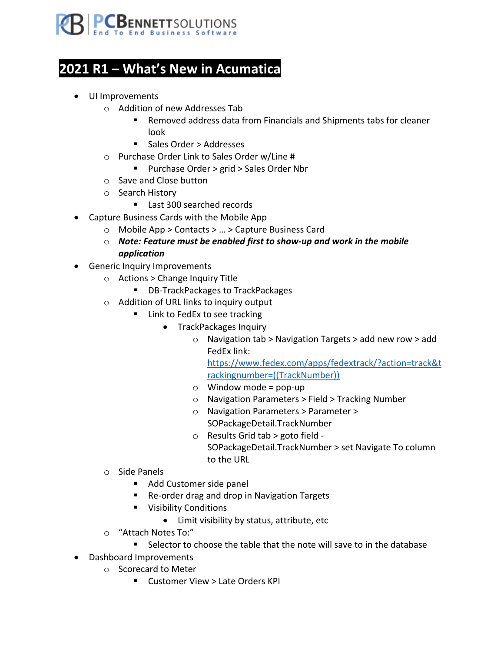

## **2021 R1 – What's New in Acumatica**

- UI Improvements
	- o Addition of new Addresses Tab
		- Removed address data from Financials and Shipments tabs for cleaner look
		- Sales Order > Addresses
	- o Purchase Order Link to Sales Order w/Line #
		- Purchase Order > grid > Sales Order Nbr
	- o Save and Close button
	- o Search History
		- Last 300 searched records
- Capture Business Cards with the Mobile App
	- o Mobile App > Contacts > … > Capture Business Card
	- o *Note: Feature must be enabled first to show-up and work in the mobile application*
- Generic Inquiry Improvements
	- o Actions > Change Inquiry Title
		- DB-TrackPackages to TrackPackages
	- o Addition of URL links to inquiry output
		- Link to FedEx to see tracking
			- TrackPackages Inquiry
				- o Navigation tab > Navigation Targets > add new row > add FedEx link:

https://www.fedex.com/apps/fedextrack/?action=track&t rackingnumber=((TrackNumber))

- $\circ$  Window mode = pop-up
- o Navigation Parameters > Field > Tracking Number
- o Navigation Parameters > Parameter > SOPackageDetail.TrackNumber
- o Results Grid tab > goto field SOPackageDetail.TrackNumber > set Navigate To column to the URL
- o Side Panels
	- Add Customer side panel
	- Re-order drag and drop in Navigation Targets
	- Visibility Conditions
		- Limit visibility by status, attribute, etc
- o "Attach Notes To:"
	- Selector to choose the table that the note will save to in the database
- Dashboard Improvements
	- o Scorecard to Meter
		- Customer View > Late Orders KPI